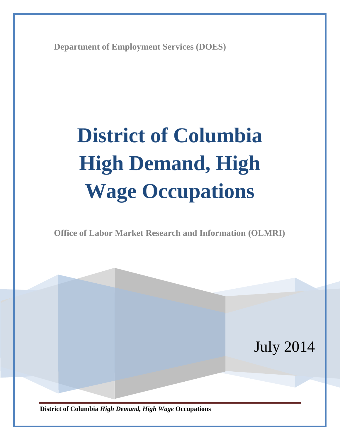**Department of Employment Services (DOES)**

# **District of Columbia High Demand, High Wage Occupations**

**Office of Labor Market Research and Information (OLMRI)**

**District of Columbia** *High Demand, High Wage* **Occupations** July 2014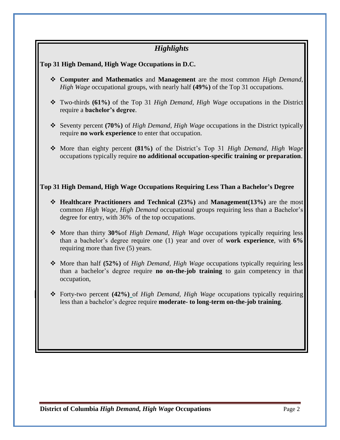## *Highlights*

**Top 31 High Demand, High Wage Occupations in D.C.**

- **Computer and Mathematics** and **Management** are the most common *High Demand, High Wage* occupational groups, with nearly half **(49%)** of the Top 31 occupations.
- Two-thirds **(61%)** of the Top 31 *High Demand, High Wage* occupations in the District require a **bachelor's degree**.
- Seventy percent **(70%)** of *High Demand, High Wage* occupations in the District typically require **no work experience** to enter that occupation.
- More than eighty percent **(81%)** of the District's Top 31 *High Demand, High Wage* occupations typically require **no additional occupation-specific training or preparation**.

#### **Top 31 High Demand, High Wage Occupations Requiring Less Than a Bachelor's Degree**

- **Healthcare Practitioners and Technical (23%)** and **Management(13%)** are the most common *High Wage, High Demand* occupational groups requiring less than a Bachelor's degree for entry, with 36% of the top occupations.
- More than thirty **30%**of *High Demand, High Wage* occupations typically requiring less than a bachelor's degree require one (1) year and over of **work experience**, with **6%** requiring more than five (5) years.
- More than half **(52%)** of *High Demand, High Wage* occupations typically requiring less than a bachelor's degree require **no on-the-job training** to gain competency in that occupation,
- Forty-two percent **(42%)** of *High Demand, High Wage* occupations typically requiring less than a bachelor's degree require **moderate- to long-term on-the-job training**.

**District of Columbia** *High Demand, High Wage* **Occupations <b>Page 2** Page 2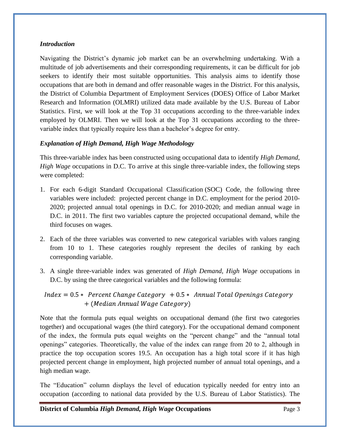#### *Introduction*

Navigating the District's dynamic job market can be an overwhelming undertaking. With a multitude of job advertisements and their corresponding requirements, it can be difficult for job seekers to identify their most suitable opportunities. This analysis aims to identify those occupations that are both in demand and offer reasonable wages in the District. For this analysis, the District of Columbia Department of Employment Services (DOES) Office of Labor Market Research and Information (OLMRI) utilized data made available by the U.S. Bureau of Labor Statistics. First, we will look at the Top 31 occupations according to the three-variable index employed by OLMRI. Then we will look at the Top 31 occupations according to the threevariable index that typically require less than a bachelor's degree for entry.

#### *Explanation of High Demand, High Wage Methodology*

This three-variable index has been constructed using occupational data to identify *High Demand, High Wage* occupations in D.C. To arrive at this single three-variable index, the following steps were completed:

- 1. For each 6-digit Standard Occupational Classification (SOC) Code, the following three variables were included: projected percent change in D.C. employment for the period 2010- 2020; projected annual total openings in D.C. for 2010-2020; and median annual wage in D.C. in 2011. The first two variables capture the projected occupational demand, while the third focuses on wages.
- 2. Each of the three variables was converted to new categorical variables with values ranging from 10 to 1. These categories roughly represent the deciles of ranking by each corresponding variable.
- 3. A single three-variable index was generated of *High Demand, High Wage* occupations in D.C. by using the three categorical variables and the following formula:

 $Index = 0.5 * Percent Change category + 0.5 * Annual Total Opening Category$ + (Median Annual Wage Category)

Note that the formula puts equal weights on occupational demand (the first two categories together) and occupational wages (the third category). For the occupational demand component of the index, the formula puts equal weights on the "percent change" and the "annual total openings" categories. Theoretically, the value of the index can range from 20 to 2, although in practice the top occupation scores 19.5. An occupation has a high total score if it has high projected percent change in employment, high projected number of annual total openings, and a high median wage.

The "Education" column displays the level of education typically needed for entry into an occupation (according to national data provided by the U.S. Bureau of Labor Statistics). The

**District of Columbia** *High Demand, High Wage* **Occupations <b>Page 3** Page 3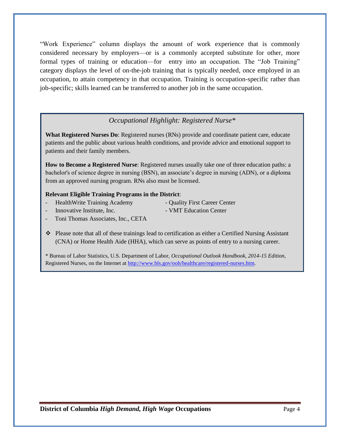"Work Experience" column displays the amount of work experience that is commonly considered necessary by employers—or is a commonly accepted substitute for other, more formal types of training or education—for entry into an occupation. The "Job Training" category displays the level of on-the-job training that is typically needed, once employed in an occupation, to attain competency in that occupation. Training is occupation-specific rather than job-specific; skills learned can be transferred to another job in the same occupation.

### *Occupational Highlight: Registered Nurse\**

**What Registered Nurses Do**: Registered nurses (RNs) provide and coordinate patient care, educate patients and the public about various health conditions, and provide advice and emotional support to patients and their family members.

**How to Become a Registered Nurse**: Registered nurses usually take one of three education paths: a bachelor's of science degree in nursing (BSN), an associate's degree in nursing (ADN), or a diploma from an approved nursing program. RNs also must be licensed.

#### **Relevant Eligible Training Programs in the District**:

- HealthWrite Training Academy Quality First Career Center
	-
- Innovative Institute, Inc.  **VMT** Education Center
- 
- Toni Thomas Associates, Inc., CETA
- Please note that all of these trainings lead to certification as either a Certified Nursing Assistant (CNA) or Home Health Aide (HHA), which can serve as points of entry to a nursing career.

\* Bureau of Labor Statistics, U.S. Department of Labor, *Occupational Outlook Handbook, 2014-15 Edition*, Registered Nurses, on the Internet at [http://www.bls.gov/ooh/healthcare/registered-nurses.htm.](http://www.bls.gov/ooh/healthcare/registered-nurses.htm)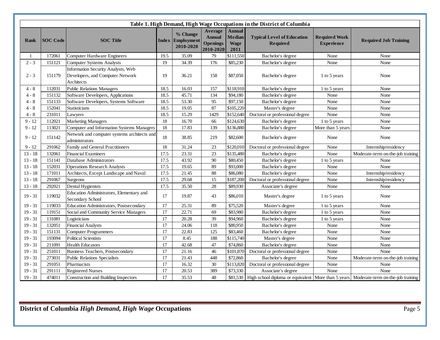| Table 1. High Demand, High Wage Occupations in the District of Columbia |                 |                                                                                      |                 |                                           |                                                          |                                                       |                                               |                                           |                                                                                           |
|-------------------------------------------------------------------------|-----------------|--------------------------------------------------------------------------------------|-----------------|-------------------------------------------|----------------------------------------------------------|-------------------------------------------------------|-----------------------------------------------|-------------------------------------------|-------------------------------------------------------------------------------------------|
| Rank                                                                    | <b>SOC</b> Code | <b>SOC</b> Title                                                                     |                 | % Change<br>Index Employment<br>2010-2020 | Average<br><b>Annual</b><br><b>Openings</b><br>2010-2020 | <b>Annual</b><br><b>Median</b><br><b>Wage</b><br>2011 | <b>Typical Level of Education</b><br>Required | <b>Required Work</b><br><b>Experience</b> | <b>Required Job Training</b>                                                              |
| $\mathbf{1}$                                                            | 172061          | Computer Hardware Engineers                                                          | 19.5            | 35.09                                     | 79                                                       | \$111,550                                             | Bachelor's degree                             | None                                      | None                                                                                      |
| $2 - 3$                                                                 | 151121          | <b>Computer Systems Analysts</b>                                                     | 19              | 34.39                                     | 176                                                      | \$85,230                                              | Bachelor's degree                             | None                                      | None                                                                                      |
| $2 - 3$                                                                 | 151179          | Information Security Analysts, Web<br>Developers, and Computer Network<br>Architects | 19              | 36.21                                     | 158                                                      | \$87,050                                              | Bachelor's degree                             | 1 to 5 years                              | None                                                                                      |
| $4 - 8$                                                                 | 112031          | <b>Public Relations Managers</b>                                                     | 18.5            | 16.03                                     | 157                                                      | \$118,910                                             | Bachelor's degree                             | 1 to 5 years                              | None                                                                                      |
| $4 - 8$                                                                 | 151132          | Software Developers, Applications                                                    | 18.5            | 45.71                                     | 134                                                      | \$94,180                                              | Bachelor's degree                             | None                                      | None                                                                                      |
| $4 - 8$                                                                 | 151133          | Software Developers, Systems Software                                                | 18.5            | 53.30                                     | 95                                                       | \$97,150                                              | Bachelor's degree                             | None                                      | None                                                                                      |
| $4 - 8$                                                                 | 152041          | Statisticians                                                                        | 18.5            | 19.05                                     | 87                                                       | \$105,220                                             | Master's degree                               | None                                      | None                                                                                      |
| $4 - 8$                                                                 | 231011          | Lawyers                                                                              | 18.5            | 15.29                                     | 1429                                                     | \$152,640                                             | Doctoral or professional degree               | None                                      | None                                                                                      |
| $9 - 12$                                                                | 112021          | <b>Marketing Managers</b>                                                            | 18              | 16.70                                     | 66                                                       | \$124,630                                             | Bachelor's degree                             | 1 to 5 years                              | None                                                                                      |
| $9 - 12$                                                                | 113021          | Computer and Information Systems Managers                                            | 18              | 17.83                                     | 139                                                      | \$136,880                                             | Bachelor's degree                             | More than 5 years                         | None                                                                                      |
| $9 - 12$                                                                | 151142          | Network and computer systems architects and<br>administrators                        | 18              | 38.85                                     | 219                                                      | \$82,600                                              | Bachelor's degree                             | None                                      | None                                                                                      |
| $9 - 12$                                                                | 291062          | Family and General Practitioners                                                     | 18              | 31.24                                     | 23                                                       | \$120,010                                             | Doctoral or professional degree               | None                                      | Internship/residency                                                                      |
| $13 - 18$                                                               | 132061          | <b>Financial Examiners</b>                                                           | 17.5            | 23.31                                     | 23                                                       | \$135,480                                             | Bachelor's degree                             | None                                      | Moderate-term on-the-job training                                                         |
| $13 - 18$                                                               | 151141          | Database Administrators                                                              | 17.5            | 43.92                                     | 90                                                       | \$80,450                                              | Bachelor's degree                             | 1 to 5 years                              | None                                                                                      |
| $13 - 18$                                                               | 152031          | <b>Operations Research Analysts</b>                                                  | 17.5            | 19.65                                     | 89                                                       | \$93,000                                              | Bachelor's degree                             | None                                      | None                                                                                      |
| $13 - 18$                                                               | 171011          | Architects, Except Landscape and Naval                                               | 17.5            | 21.45                                     | 88                                                       | \$86,080                                              | Bachelor's degree                             | None                                      | Internship/residency                                                                      |
| $13 - 18$                                                               | 291067          | Surgeons                                                                             | 17.5            | 29.68                                     | 15                                                       | \$187,200                                             | Doctoral or professional degree               | None                                      | Internship/residency                                                                      |
| $13 - 18$                                                               | 292021          | Dental Hygienists                                                                    | 17.5            | 35.50                                     | 28                                                       | \$89,930                                              | Associate's degree                            | None                                      | None                                                                                      |
| $19 - 31$                                                               | 119032          | Education Administrators, Elementary and<br>Secondary School                         | 17              | 19.87                                     | 43                                                       | \$86,010                                              | Master's degree                               | 1 to 5 years                              | None                                                                                      |
| $19 - 31$                                                               | 119033          | Education Administrators, Postsecondary                                              | 17              | 25.31                                     | 89                                                       | \$75,520                                              | Master's degree                               | 1 to 5 years                              | None                                                                                      |
| $19 - 31$                                                               | 119151          | Social and Community Service Managers                                                | 17              | 22.71                                     | 69                                                       | \$83,980                                              | Bachelor's degree                             | 1 to 5 years                              | None                                                                                      |
| $19 - 31$                                                               | 131081          | Logisticians                                                                         | $\overline{17}$ | 20.28                                     | 39                                                       | \$94,960                                              | Bachelor's degree                             | 1 to 5 years                              | None                                                                                      |
| $19 - 31$                                                               | 132051          | <b>Financial Analysts</b>                                                            | 17              | 24.06                                     | 118                                                      | \$80,950                                              | Bachelor's degree                             | None                                      | None                                                                                      |
| $19 - 31$                                                               | 151131          | <b>Computer Programmers</b>                                                          | 17              | 22.83                                     | 125                                                      | \$83,460                                              | Bachelor's degree                             | None                                      | None                                                                                      |
| $19 - 31$                                                               | 193094          | <b>Political Scientists</b>                                                          | 17              | 8.45                                      | 188                                                      | \$115,740                                             | Master's degree                               | None                                      | None                                                                                      |
| $19 - 31$                                                               | 211091          | <b>Health Educators</b>                                                              | 17              | 42.68                                     | 47                                                       | \$74,860                                              | Bachelor's degree                             | None                                      | None                                                                                      |
| $19 - 31$                                                               | 251011          | Business Teachers, Postsecondary                                                     | 17              | 21.16                                     | 46                                                       | \$101,870                                             | Doctoral or professional degree               | None                                      | None                                                                                      |
| $19 - 31$                                                               | 273031          | <b>Public Relations Specialists</b>                                                  | 17              | 21.43                                     | 448                                                      | \$72,860                                              | Bachelor's degree                             | None                                      | Moderate-term on-the-job training                                                         |
| $19 - 31$                                                               | 291051          | Pharmacists                                                                          | 17              | 16.32                                     | 30                                                       | \$113,820                                             | Doctoral or professional degree               | None                                      | None                                                                                      |
| $19 - 31$                                                               | 291111          | <b>Registered Nurses</b>                                                             | $\overline{17}$ | 20.53                                     | 389                                                      | \$73,330                                              | Associate's degree                            | None                                      | None                                                                                      |
| $19 - 31$                                                               | 474011          | Construction and Building Inspectors                                                 | 17              | 35.53                                     | 48                                                       | \$81,530                                              |                                               |                                           | High school diploma or equivalent   More than 5 years   Moderate-term on-the-job training |

T.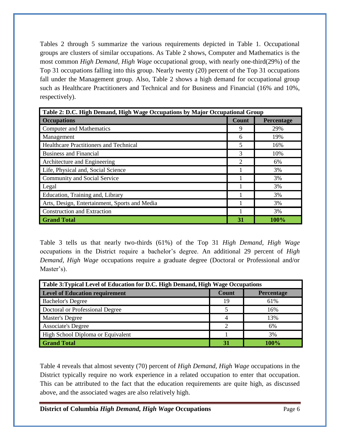Tables 2 through 5 summarize the various requirements depicted in Table 1. Occupational groups are clusters of similar occupations. As Table 2 shows, Computer and Mathematics is the most common *High Demand, High Wage* occupational group, with nearly one-third(29%) of the Top 31 occupations falling into this group. Nearly twenty (20) percent of the Top 31 occupations fall under the Management group. Also, Table 2 shows a high demand for occupational group such as Healthcare Practitioners and Technical and for Business and Financial (16% and 10%, respectively).

| Table 2: D.C. High Demand, High Wage Occupations by Major Occupational Group |                |            |  |  |  |  |  |
|------------------------------------------------------------------------------|----------------|------------|--|--|--|--|--|
| <b>Occupations</b>                                                           | <b>Count</b>   | Percentage |  |  |  |  |  |
| <b>Computer and Mathematics</b>                                              | 9              | 29%        |  |  |  |  |  |
| Management                                                                   | 6              | 19%        |  |  |  |  |  |
| <b>Healthcare Practitioners and Technical</b>                                | 5              | 16%        |  |  |  |  |  |
| <b>Business and Financial</b>                                                | 3              | 10%        |  |  |  |  |  |
| Architecture and Engineering                                                 | $\overline{2}$ | 6%         |  |  |  |  |  |
| Life, Physical and, Social Science                                           |                | 3%         |  |  |  |  |  |
| Community and Social Service                                                 |                | 3%         |  |  |  |  |  |
| Legal                                                                        |                | 3%         |  |  |  |  |  |
| Education, Training and, Library                                             |                | 3%         |  |  |  |  |  |
| Arts, Design, Entertainment, Sports and Media                                |                | 3%         |  |  |  |  |  |
| <b>Construction and Extraction</b>                                           |                | 3%         |  |  |  |  |  |
| <b>Grand Total</b>                                                           | 31             | 100%       |  |  |  |  |  |

Table 3 tells us that nearly two-thirds (61%) of the Top 31 *High Demand, High Wage* occupations in the District require a bachelor's degree. An additional 29 percent of *High Demand, High Wage* occupations require a graduate degree (Doctoral or Professional and/or Master's).

| Table 3: Typical Level of Education for D.C. High Demand, High Wage Occupations |       |            |  |  |  |  |  |
|---------------------------------------------------------------------------------|-------|------------|--|--|--|--|--|
| <b>Level of Education requirement</b>                                           | Count | Percentage |  |  |  |  |  |
| <b>Bachelor's Degree</b>                                                        | 19    | 61%        |  |  |  |  |  |
| Doctoral or Professional Degree                                                 |       | 16%        |  |  |  |  |  |
| <b>Master's Degree</b>                                                          |       | 13%        |  |  |  |  |  |
| <b>Associate's Degree</b>                                                       | ⌒     | 6%         |  |  |  |  |  |
| High School Diploma or Equivalent                                               |       | 3%         |  |  |  |  |  |
| <b>Grand Total</b>                                                              | 31    | 100%       |  |  |  |  |  |

Table 4 reveals that almost seventy (70) percent of *High Demand, High Wage* occupations in the District typically require no work experience in a related occupation to enter that occupation. This can be attributed to the fact that the education requirements are quite high, as discussed above, and the associated wages are also relatively high.

**District of Columbia** *High Demand, High Wage* **Occupations <b>Page 6** Page 6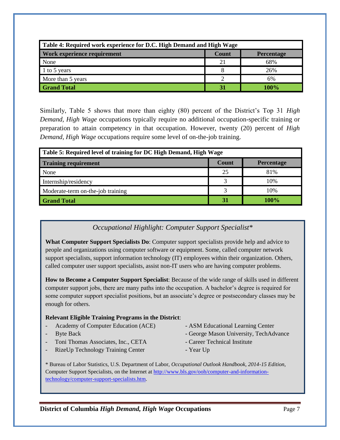| Table 4: Required work experience for D.C. High Demand and High Wage |       |            |  |  |  |  |  |
|----------------------------------------------------------------------|-------|------------|--|--|--|--|--|
| Work experience requirement                                          | Count | Percentage |  |  |  |  |  |
| None                                                                 | 21    | 68%        |  |  |  |  |  |
| 1 to 5 years                                                         |       | 26%        |  |  |  |  |  |
| More than 5 years                                                    | ႒     | 6%         |  |  |  |  |  |
| <b>Grand Total</b>                                                   | 31    | 100%       |  |  |  |  |  |

Similarly, Table 5 shows that more than eighty (80) percent of the District's Top 31 *High Demand, High Wage* occupations typically require no additional occupation-specific training or preparation to attain competency in that occupation. However, twenty (20) percent of *High Demand, High Wage* occupations require some level of on-the-job training.

| Table 5: Required level of training for DC High Demand, High Wage |       |            |  |  |  |  |  |
|-------------------------------------------------------------------|-------|------------|--|--|--|--|--|
| <b>Training requirement</b>                                       | Count | Percentage |  |  |  |  |  |
| None                                                              | 25    | 81%        |  |  |  |  |  |
| Internship/residency                                              |       | 10%        |  |  |  |  |  |
| Moderate-term on-the-job training                                 |       | 10%        |  |  |  |  |  |
| <b>Grand Total</b>                                                | 31    | 100%       |  |  |  |  |  |

## *Occupational Highlight: Computer Support Specialist\**

**What Computer Support Specialists Do**: Computer support specialists provide help and advice to people and organizations using computer software or equipment. Some, called computer network support specialists, support information technology (IT) employees within their organization. Others, called computer user support specialists, assist non-IT users who are having computer problems.

**How to Become a Computer Support Specialist**: Because of the wide range of skills used in different computer support jobs, there are many paths into the occupation. A bachelor's degree is required for some computer support specialist positions, but an associate's degree or postsecondary classes may be enough for others.

#### **Relevant Eligible Training Programs in the District**:

- Academy of Computer Education (ACE) ASM Educational Learning Center
- 
- 
- 
- Byte Back  **George Mason University, TechAdvance**
- Toni Thomas Associates, Inc., CETA Career Technical Institute
- -
- RizeUp Technology Training Center Year Up
- -

\* Bureau of Labor Statistics, U.S. Department of Labor, *Occupational Outlook Handbook, 2014-15 Edition*, Computer Support Specialists, on the Internet at [http://www.bls.gov/ooh/computer-and-information](http://www.bls.gov/ooh/computer-and-information-technology/computer-support-specialists.htm)[technology/computer-support-specialists.htm.](http://www.bls.gov/ooh/computer-and-information-technology/computer-support-specialists.htm)

**District of Columbia** *High Demand, High Wage* **Occupations <b>Page 7** Page 7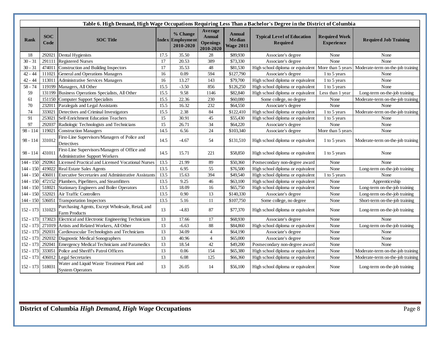| Table 6. High Demand, High Wage Occupations Requiring Less Than a Bachelor's Degree in the District of Columbia |                    |                                                                                        |                 |                                            |                                                   |                                             |                                                      |                                           |                                                                                       |
|-----------------------------------------------------------------------------------------------------------------|--------------------|----------------------------------------------------------------------------------------|-----------------|--------------------------------------------|---------------------------------------------------|---------------------------------------------|------------------------------------------------------|-------------------------------------------|---------------------------------------------------------------------------------------|
| <b>Rank</b>                                                                                                     | <b>SOC</b><br>Code | <b>SOC</b> Title                                                                       | <b>Index</b>    | % Change<br><b>Employment</b><br>2010-2020 | Average<br><b>Annual</b><br>Openings<br>2010-2020 | <b>Annual</b><br>Median<br><b>Wage 2011</b> | <b>Typical Level of Education</b><br><b>Required</b> | <b>Required Work</b><br><b>Experience</b> | <b>Required Job Training</b>                                                          |
| 18                                                                                                              | 292021             | Dental Hygienists                                                                      | 17.5            | 35.50                                      | 28                                                | \$89,930                                    | Associate's degree                                   | None                                      | None                                                                                  |
| $30 - 31$                                                                                                       |                    | 291111 Registered Nurses                                                               | 17              | 20.53                                      | 389                                               | \$73,330                                    | Associate's degree                                   | None                                      | None                                                                                  |
| $30 - 31$                                                                                                       |                    | 474011 Construction and Building Inspectors                                            | 17              | 35.53                                      | 48                                                | \$81,530                                    |                                                      |                                           | High school diploma or equivalent More than 5 years Moderate-term on-the-job training |
| $42 - 44$                                                                                                       |                    | 111021 General and Operations Managers                                                 | 16              | 0.09                                       | 594                                               | \$127,790                                   | Associate's degree                                   | 1 to 5 years                              | None                                                                                  |
| $42 - 44$                                                                                                       |                    | 113011 Administrative Services Managers                                                | 16              | 13.27                                      | 143                                               | \$79,700                                    | High school diploma or equivalent                    | 1 to 5 years                              | None                                                                                  |
| $58 - 74$                                                                                                       | 119199             | Managers, All Other                                                                    | 15.5            | $-3.50$                                    | 856                                               | \$126,250                                   | High school diploma or equivalent                    | 1 to 5 years                              | None                                                                                  |
| 59                                                                                                              |                    | 131199 Business Operations Specialists, All Other                                      | 15.5            | 9.58                                       | 1146                                              | \$82,840                                    | High school diploma or equivalent                    | Less than 1 year                          | Long-term on-the-job training                                                         |
| 61                                                                                                              |                    | 151150 Computer Support Specialists                                                    | 15.5            | 22.36                                      | 230                                               | \$60,080                                    | Some college, no degree                              | None                                      | Moderate-term on-the-job training                                                     |
| 70                                                                                                              |                    | 232011 Paralegals and Legal Assistants                                                 | 15.5            | 16.32                                      | 232                                               | \$64,550                                    | Associate's degree                                   | None                                      | None                                                                                  |
| 74                                                                                                              | 333021             | Detectives and Criminal Investigators                                                  | 15.5            | 2.38                                       | 84                                                | \$122,410                                   | High school diploma or equivalent                    | 1 to 5 years                              | Moderate-term on-the-job training                                                     |
| 91                                                                                                              | 253021             | Self-Enrichment Education Teachers                                                     | 15              | 30.91                                      | 45                                                | \$55,430                                    | High school diploma or equivalent                    | 1 to 5 years                              | None                                                                                  |
| 97                                                                                                              | 292037             | Radiologic Technologists and Technicians                                               | 15              | 26.71                                      | 34                                                | \$64,220                                    | Associate's degree                                   | None                                      | None                                                                                  |
| 98 - 114                                                                                                        | 119021             | <b>Construction Managers</b>                                                           | 14.5            | 6.56                                       | 24                                                | \$103,340                                   | Associate's degree                                   | More than 5 years                         | None                                                                                  |
| $98 - 114$                                                                                                      | 331012             | First-Line Supervisors/Managers of Police and<br>Detectives                            | 14.5            | $-4.67$                                    | 54                                                | \$131,510                                   | High school diploma or equivalent                    | 1 to 5 years                              | Moderate-term on-the-job training                                                     |
| $98 - 114$                                                                                                      | 431011             | First-Line Supervisors/Managers of Office and<br><b>Administrative Support Workers</b> | 14.5            | 15.71                                      | 221                                               | \$58,850                                    | High school diploma or equivalent                    | 1 to 5 years                              | None                                                                                  |
| $144 - 150$                                                                                                     | 292061             | Licensed Practical and Licensed Vocational Nurses                                      | 13.5            | 21.99                                      | 89                                                | \$50,360                                    | Postsecondary non-degree award                       | None                                      | None                                                                                  |
| 144 - 150                                                                                                       | 419022             | <b>Real Estate Sales Agents</b>                                                        | 13.5            | 6.95                                       | $\overline{55}$                                   | \$76,500                                    | High school diploma or equivalent                    | None                                      | Long-term on-the-job training                                                         |
| 144 - 150                                                                                                       |                    | 436011 Executive Secretaries and Administrative Assistants                             | 13.5            | 15.63                                      | 394                                               | \$49,540                                    | High school diploma or equivalent                    | 1 to 5 years                              | None                                                                                  |
| 144 - 150                                                                                                       |                    | 472152 Plumbers, Pipefitters, and Steamfitters                                         | 13.5            | 9.25                                       | 46                                                | \$63,100                                    | High school diploma or equivalent                    | None                                      | Apprenticeship                                                                        |
| 144 - 150                                                                                                       |                    | 518021 Stationary Engineers and Boiler Operators                                       | 13.5            | 18.09                                      | 16                                                | \$65,750                                    | High school diploma or equivalent                    | None                                      | Long-term on-the-job training                                                         |
| 144 - 150                                                                                                       |                    | 532021 Air Traffic Controllers                                                         | 13.5            | 0.90                                       | 13                                                | \$140,330                                   | Associate's degree                                   | None                                      | Long-term on-the-job training                                                         |
| 144 - 150                                                                                                       | 536051             | <b>Transportation Inspectors</b>                                                       | 13.5            | 5.16                                       | 11                                                | \$107,750                                   | Some college, no degree                              | None                                      | Short-term on-the-job training                                                        |
| 152 - 173                                                                                                       | 131023             | Purchasing Agents, Except Wholesale, Retail, and<br><b>Farm Products</b>               | 13              | $-4.83$                                    | 87                                                | \$77,370                                    | High school diploma or equivalent                    | None                                      | Long-term on-the-job training                                                         |
| 152 - 173                                                                                                       |                    | 173023 Electrical and Electronic Engineering Technicians                               | 13              | 17.66                                      | 17                                                | \$68,930                                    | Associate's degree                                   | None                                      | None                                                                                  |
| 152 - 173                                                                                                       |                    | 271019 Artists and Related Workers, All Other                                          | 13              | $-6.63$                                    | 88                                                | \$84,860                                    | High school diploma or equivalent                    | None                                      | Long-term on-the-job training                                                         |
| 152 - 173                                                                                                       |                    | 292031 Cardiovascular Technologists and Technicians                                    | 13              | 34.09                                      | $\overline{4}$                                    | \$64,190                                    | Associate's degree                                   | None                                      | None                                                                                  |
| 152 - 173                                                                                                       |                    | 292032 Diagnostic Medical Sonographers                                                 | 13              | 40.96                                      | $\overline{4}$                                    | \$65,000                                    | Associate's degree                                   | None                                      | None                                                                                  |
| 152 - 173                                                                                                       |                    | 292041 Emergency Medical Technicians and Paramedics                                    | 13              | 18.54                                      | 42                                                | \$49,200                                    | Postsecondary non-degree award                       | None                                      | None                                                                                  |
| 152 - 173                                                                                                       |                    | 333051 Police and Sheriff's Patrol Officers                                            | 13              | 0.06                                       | 154                                               | \$65,380                                    | High school diploma or equivalent                    | None                                      | Moderate-term on-the-job training                                                     |
| $152 - 173$                                                                                                     |                    | 436012 Legal Secretaries                                                               | $\overline{13}$ | 6.08                                       | 125                                               | \$66,360                                    | High school diploma or equivalent                    | None                                      | Moderate-term on-the-job training                                                     |
| 152 - 173                                                                                                       | 518031             | Water and Liquid Waste Treatment Plant and<br><b>System Operators</b>                  | 13              | 26.05                                      | 14                                                | \$56,100                                    | High school diploma or equivalent                    | None                                      | Long-term on-the-job training                                                         |

T.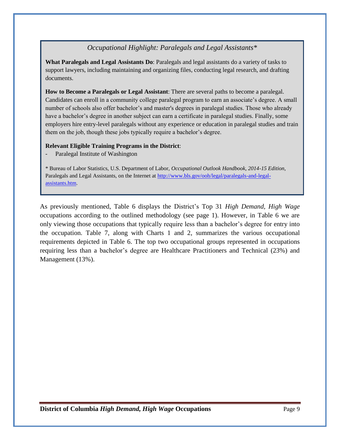## *Occupational Highlight: Paralegals and Legal Assistants\**

**What Paralegals and Legal Assistants Do**: Paralegals and legal assistants do a variety of tasks to support lawyers, including maintaining and organizing files, conducting legal research, and drafting documents.

**How to Become a Paralegals or Legal Assistant**: There are several paths to become a paralegal. Candidates can enroll in a community college paralegal program to earn an associate's degree. A small number of schools also offer bachelor's and master's degrees in paralegal studies. Those who already have a bachelor's degree in another subject can earn a certificate in paralegal studies. Finally, some employers hire entry-level paralegals without any experience or education in paralegal studies and train them on the job, though these jobs typically require a bachelor's degree.

#### **Relevant Eligible Training Programs in the District**:

Paralegal Institute of Washington

\* Bureau of Labor Statistics, U.S. Department of Labor, *Occupational Outlook Handbook, 2014-15 Edition*, Paralegals and Legal Assistants, on the Internet at [http://www.bls.gov/ooh/legal/paralegals-and-legal](http://www.bls.gov/ooh/legal/paralegals-and-legal-assistants.htm)[assistants.htm.](http://www.bls.gov/ooh/legal/paralegals-and-legal-assistants.htm)

As previously mentioned, Table 6 displays the District's Top 31 *High Demand, High Wage* occupations according to the outlined methodology (see page 1). However, in Table 6 we are only viewing those occupations that typically require less than a bachelor's degree for entry into the occupation. Table 7, along with Charts 1 and 2, summarizes the various occupational requirements depicted in Table 6. The top two occupational groups represented in occupations requiring less than a bachelor's degree are Healthcare Practitioners and Technical (23%) and Management (13%).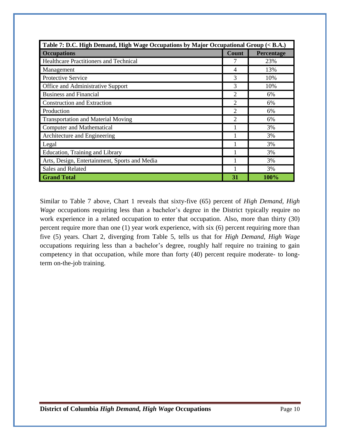| Table 7: D.C. High Demand, High Wage Occupations by Major Occupational Group (< B.A.) |                |            |  |  |  |  |  |
|---------------------------------------------------------------------------------------|----------------|------------|--|--|--|--|--|
| <b>Occupations</b>                                                                    | Count          | Percentage |  |  |  |  |  |
| Healthcare Practitioners and Technical                                                |                | 23%        |  |  |  |  |  |
| Management                                                                            | 4              | 13%        |  |  |  |  |  |
| <b>Protective Service</b>                                                             | 3              | 10%        |  |  |  |  |  |
| Office and Administrative Support                                                     | 3              | 10%        |  |  |  |  |  |
| <b>Business and Financial</b>                                                         | 2              | 6%         |  |  |  |  |  |
| <b>Construction and Extraction</b>                                                    | $\overline{2}$ | 6%         |  |  |  |  |  |
| Production                                                                            | 2              | 6%         |  |  |  |  |  |
| <b>Transportation and Material Moving</b>                                             | 2              | 6%         |  |  |  |  |  |
| <b>Computer and Mathematical</b>                                                      |                | 3%         |  |  |  |  |  |
| Architecture and Engineering                                                          |                | 3%         |  |  |  |  |  |
| Legal                                                                                 |                | 3%         |  |  |  |  |  |
| Education, Training and Library                                                       |                | 3%         |  |  |  |  |  |
| Arts, Design, Entertainment, Sports and Media                                         |                | 3%         |  |  |  |  |  |
| Sales and Related                                                                     |                | 3%         |  |  |  |  |  |
| <b>Grand Total</b>                                                                    | 31             | 100%       |  |  |  |  |  |

Similar to Table 7 above, Chart 1 reveals that sixty-five (65) percent of *High Demand, High Wage* occupations requiring less than a bachelor's degree in the District typically require no work experience in a related occupation to enter that occupation. Also, more than thirty (30) percent require more than one (1) year work experience, with six (6) percent requiring more than five (5) years. Chart 2, diverging from Table 5, tells us that for *High Demand, High Wage* occupations requiring less than a bachelor's degree, roughly half require no training to gain competency in that occupation, while more than forty (40) percent require moderate- to longterm on-the-job training.